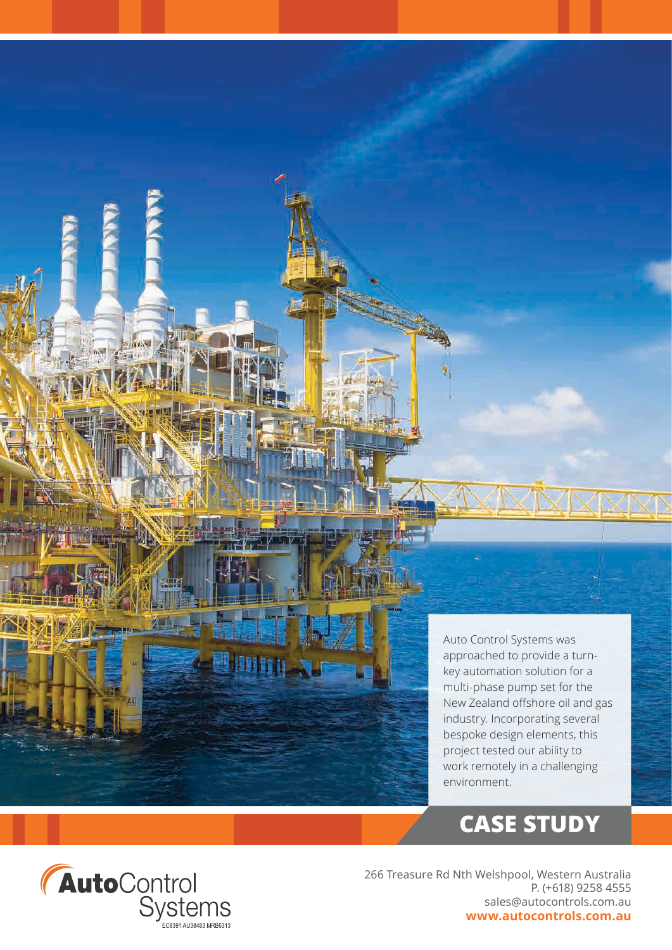

Auto Control Systems was approached to provide a turnkey automation solution for a multi-phase pump set for the New Zealand offshore oil and gas industry. Incorporating several bespoke design elements, this project tested our ability to work remotely in a challenging environment.

## **CASE STUDY**



266 Treasure Rd Nth Welshpool, Western Australia P. (+618) 9258 4555 sales@autocontrols.com.au **www.autocontrols.com.au**